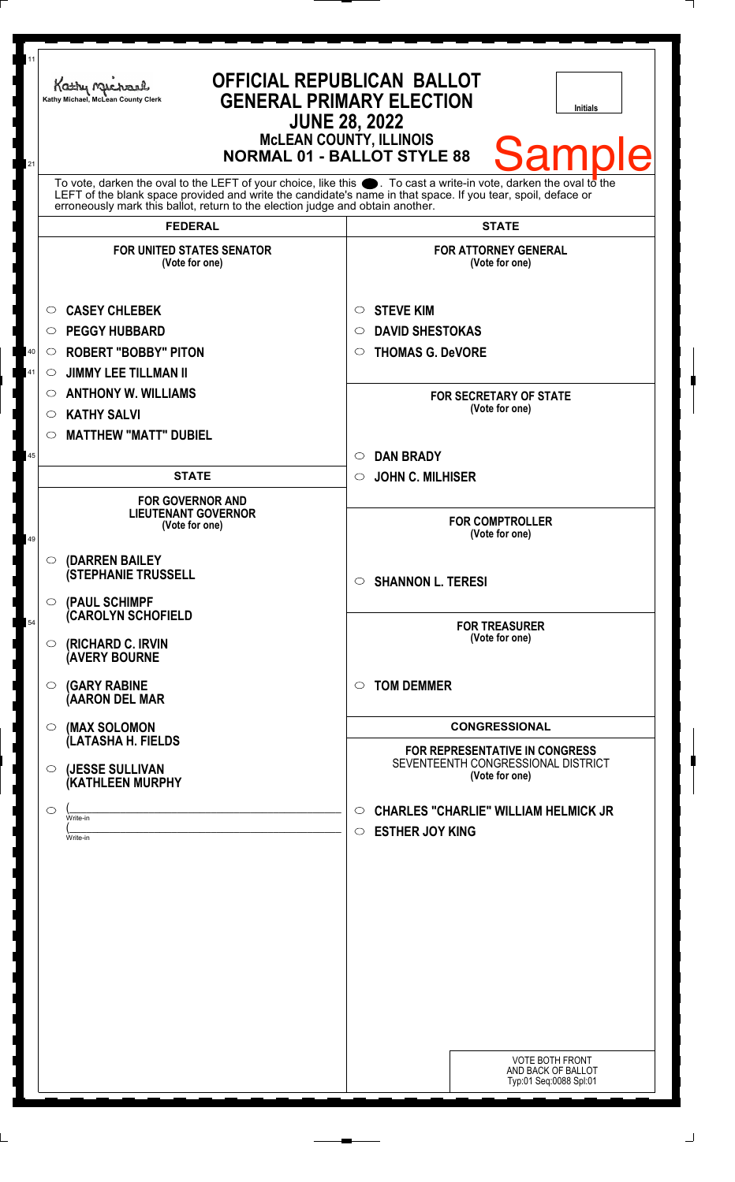| 11<br>21 | <b>OFFICIAL REPUBLICAN BALLOT</b><br>Kathy Michael<br><b>GENERAL PRIMARY ELECTION</b><br>Kathy Michael, McLean County Clerk<br><b>Initials</b><br><b>JUNE 28, 2022</b><br><b>McLEAN COUNTY, ILLINOIS</b><br><b>Sample</b><br><b>NORMAL 01 - BALLOT STYLE 88</b>                                                        |                                                                                             |
|----------|------------------------------------------------------------------------------------------------------------------------------------------------------------------------------------------------------------------------------------------------------------------------------------------------------------------------|---------------------------------------------------------------------------------------------|
|          | To vote, darken the oval to the LEFT of your choice, like this $\bullet$ . To cast a write-in vote, darken the oval to the LEFT of the blank space provided and write the candidate's name in that space. If you tear, spoil, deface<br>erroneously mark this ballot, return to the election judge and obtain another. |                                                                                             |
|          | <b>FEDERAL</b>                                                                                                                                                                                                                                                                                                         | <b>STATE</b>                                                                                |
|          | <b>FOR UNITED STATES SENATOR</b><br>(Vote for one)                                                                                                                                                                                                                                                                     | <b>FOR ATTORNEY GENERAL</b><br>(Vote for one)                                               |
|          | <b>CASEY CHLEBEK</b><br>O                                                                                                                                                                                                                                                                                              | <b>STEVE KIM</b><br>O                                                                       |
|          | <b>PEGGY HUBBARD</b><br>$\circ$                                                                                                                                                                                                                                                                                        | <b>DAVID SHESTOKAS</b><br>$\circ$                                                           |
| 40       | <b>ROBERT "BOBBY" PITON</b><br>$\circ$                                                                                                                                                                                                                                                                                 | <b>THOMAS G. DeVORE</b><br>$\circ$                                                          |
| 41       | <b>JIMMY LEE TILLMAN II</b><br>$\circ$                                                                                                                                                                                                                                                                                 |                                                                                             |
|          | <b>ANTHONY W. WILLIAMS</b><br>$\circ$                                                                                                                                                                                                                                                                                  | <b>FOR SECRETARY OF STATE</b>                                                               |
|          | <b>KATHY SALVI</b><br>O                                                                                                                                                                                                                                                                                                | (Vote for one)                                                                              |
|          | <b>MATTHEW "MATT" DUBIEL</b><br>O                                                                                                                                                                                                                                                                                      |                                                                                             |
| 45       |                                                                                                                                                                                                                                                                                                                        | <b>DAN BRADY</b><br>$\circ$                                                                 |
|          | <b>STATE</b>                                                                                                                                                                                                                                                                                                           | <b>JOHN C. MILHISER</b><br>$\circ$                                                          |
| 49       | <b>FOR GOVERNOR AND</b><br><b>LIEUTENANT GOVERNOR</b><br>(Vote for one)                                                                                                                                                                                                                                                | <b>FOR COMPTROLLER</b><br>(Vote for one)                                                    |
|          | (DARREN BAILEY<br>$\circ$<br><b>(STEPHANIE TRUSSELL</b><br>(PAUL SCHIMPF<br>$\circ$                                                                                                                                                                                                                                    | <b>SHANNON L. TERESI</b><br>$\circ$                                                         |
| 54       | <b>CAROLYN SCHOFIELD</b><br>(RICHARD C. IRVIN<br>$\circ$<br><b>(AVERY BOURNE</b>                                                                                                                                                                                                                                       | <b>FOR TREASURER</b><br>(Vote for one)                                                      |
|          | <b>(GARY RABINE</b><br>O<br>(AARON DEL MAR                                                                                                                                                                                                                                                                             | <b>TOM DEMMER</b><br>$\circ$                                                                |
|          | (MAX SOLOMON<br>O                                                                                                                                                                                                                                                                                                      | <b>CONGRESSIONAL</b>                                                                        |
|          | (LATASHA H. FIELDS<br>(JESSE SULLIVAN<br>O<br>(KATHLEEN MURPHY                                                                                                                                                                                                                                                         | FOR REPRESENTATIVE IN CONGRESS<br>SEVENTEENTH CONGRESSIONAL DISTRICT<br>(Vote for one)      |
|          | $\circ$<br>Write-in<br>Write-in                                                                                                                                                                                                                                                                                        | <b>CHARLES "CHARLIE" WILLIAM HELMICK JR</b><br>$\circ$<br><b>ESTHER JOY KING</b><br>$\circ$ |
|          |                                                                                                                                                                                                                                                                                                                        | <b>VOTE BOTH FRONT</b><br>AND BACK OF BALLOT<br>Typ:01 Seq:0088 Spl:01                      |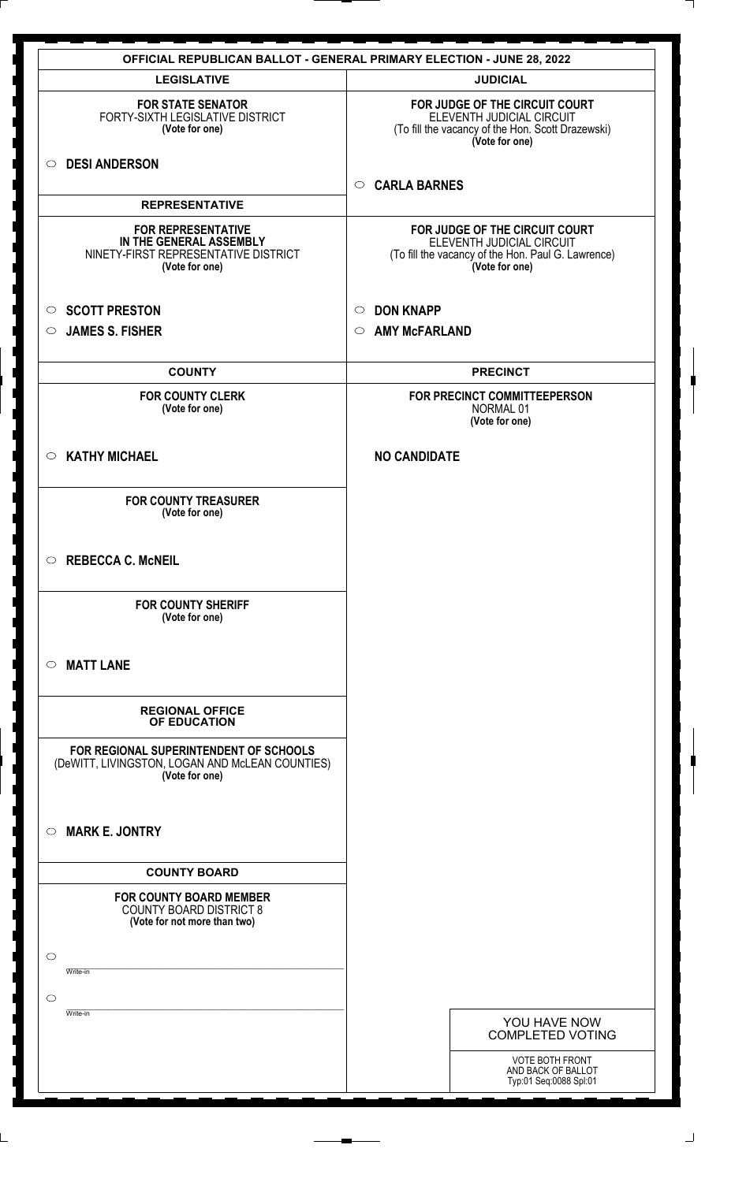|                                                                                                                | <b>OFFICIAL REPUBLICAN BALLOT - GENERAL PRIMARY ELECTION - JUNE 28, 2022</b>                                                        |
|----------------------------------------------------------------------------------------------------------------|-------------------------------------------------------------------------------------------------------------------------------------|
| <b>LEGISLATIVE</b>                                                                                             | <b>JUDICIAL</b>                                                                                                                     |
| <b>FOR STATE SENATOR</b><br>FORTY-SIXTH LEGISLATIVE DISTRICT<br>(Vote for one)                                 | FOR JUDGE OF THE CIRCUIT COURT<br>ELEVENTH JUDICIAL CIRCUIT<br>(To fill the vacancy of the Hon. Scott Drazewski)<br>(Vote for one)  |
| <b>DESI ANDERSON</b><br>$\circ$                                                                                | <b>CARLA BARNES</b><br>$\circ$                                                                                                      |
| <b>REPRESENTATIVE</b>                                                                                          |                                                                                                                                     |
| <b>FOR REPRESENTATIVE</b><br>IN THE GENERAL ASSEMBLY<br>NINETY-FIRST REPRESENTATIVE DISTRICT<br>(Vote for one) | FOR JUDGE OF THE CIRCUIT COURT<br>ELEVENTH JUDICIAL CIRCUIT<br>(To fill the vacancy of the Hon. Paul G. Lawrence)<br>(Vote for one) |
| <b>SCOTT PRESTON</b><br>$\circ$                                                                                | <b>DON KNAPP</b><br>$\circ$                                                                                                         |
| <b>JAMES S. FISHER</b><br>$\circ$                                                                              | <b>AMY McFARLAND</b><br>$\circ$                                                                                                     |
|                                                                                                                |                                                                                                                                     |
| <b>COUNTY</b>                                                                                                  | <b>PRECINCT</b>                                                                                                                     |
| <b>FOR COUNTY CLERK</b><br>(Vote for one)                                                                      | FOR PRECINCT COMMITTEEPERSON<br>NORMAL 01<br>(Vote for one)                                                                         |
| <b>KATHY MICHAEL</b><br>$\circ$                                                                                | <b>NO CANDIDATE</b>                                                                                                                 |
| <b>FOR COUNTY TREASURER</b><br>(Vote for one)                                                                  |                                                                                                                                     |
| $\circ$ REBECCA C. McNEIL                                                                                      |                                                                                                                                     |
| <b>FOR COUNTY SHERIFF</b><br>(Vote for one)                                                                    |                                                                                                                                     |
| <b>MATT LANE</b><br>$\circ$                                                                                    |                                                                                                                                     |
| <b>REGIONAL OFFICE</b><br>OF EDUCATION                                                                         |                                                                                                                                     |
| FOR REGIONAL SUPERINTENDENT OF SCHOOLS<br>(DeWITT, LIVINGSTON, LOGAN AND McLEAN COUNTIES)<br>(Vote for one)    |                                                                                                                                     |
| <b>MARK E. JONTRY</b><br>$\circ$                                                                               |                                                                                                                                     |
| <b>COUNTY BOARD</b>                                                                                            |                                                                                                                                     |
| <b>FOR COUNTY BOARD MEMBER</b><br><b>COUNTY BOARD DISTRICT 8</b><br>(Vote for not more than two)               |                                                                                                                                     |
| $\circ$<br>Write-in                                                                                            |                                                                                                                                     |
| $\circ$                                                                                                        |                                                                                                                                     |
| Write-in                                                                                                       | YOU HAVE NOW                                                                                                                        |
|                                                                                                                | <b>COMPLETED VOTING</b>                                                                                                             |
|                                                                                                                | <b>VOTE BOTH FRONT</b><br>AND BACK OF BALLOT<br>Typ:01 Seq:0088 Spl:01                                                              |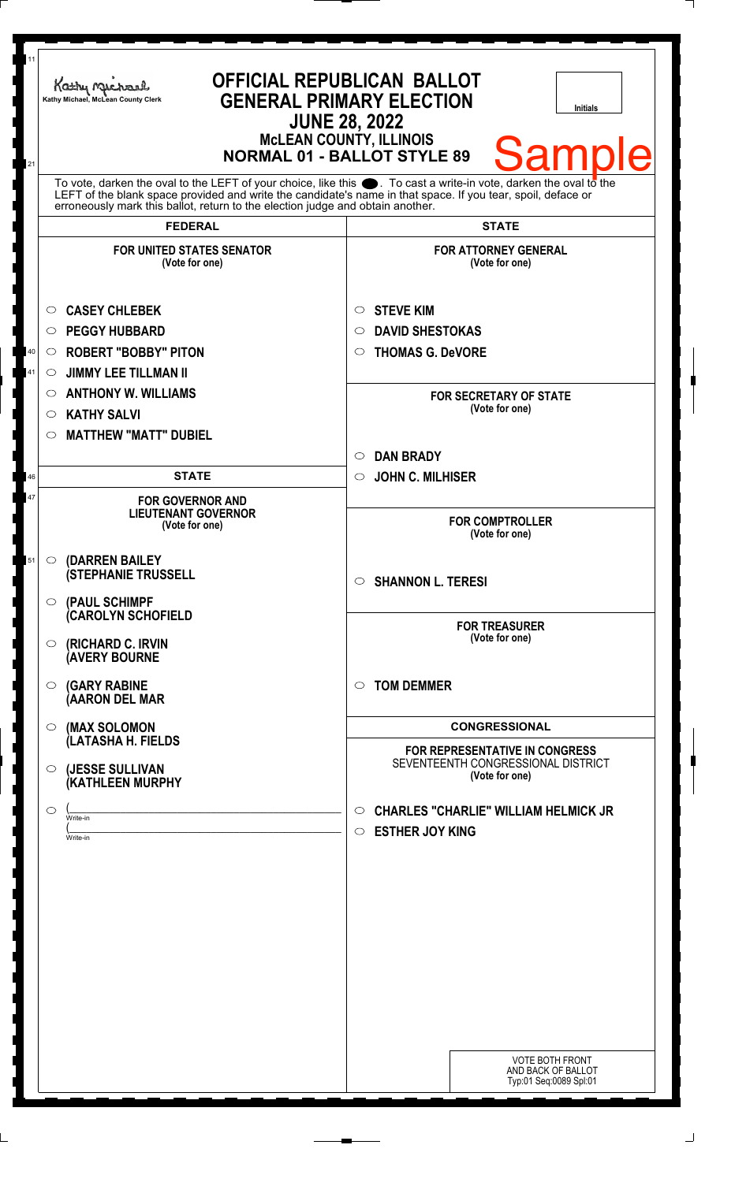| 11<br>21 | Kathy Machard<br>Kathy Michael, McLean County Clerk                                                                                                                                                                                                                                                                                      | <b>OFFICIAL REPUBLICAN BALLOT</b><br><b>GENERAL PRIMARY ELECTION</b><br>Initials<br><b>JUNE 28, 2022</b><br><b>McLEAN COUNTY, ILLINOIS</b><br><b>Sample</b><br><b>NORMAL 01 - BALLOT STYLE 89</b> |
|----------|------------------------------------------------------------------------------------------------------------------------------------------------------------------------------------------------------------------------------------------------------------------------------------------------------------------------------------------|---------------------------------------------------------------------------------------------------------------------------------------------------------------------------------------------------|
|          | To vote, darken the oval to the LEFT of your choice, like this $\bullet$ . To cast a write-in vote, darken the oval to the LEFT of the blank space provided and write the candidate's name in that space. If you tear, spoil, deface<br>erroneously mark this ballot, return to the election judge and obtain another.<br><b>FEDERAL</b> | <b>STATE</b>                                                                                                                                                                                      |
|          | <b>FOR UNITED STATES SENATOR</b><br>(Vote for one)                                                                                                                                                                                                                                                                                       | <b>FOR ATTORNEY GENERAL</b><br>(Vote for one)                                                                                                                                                     |
| 40<br>41 | <b>CASEY CHLEBEK</b><br>$\circ$<br><b>PEGGY HUBBARD</b><br>$\circ$<br><b>ROBERT "BOBBY" PITON</b><br>$\circ$<br><b>JIMMY LEE TILLMAN II</b><br>$\circlearrowright$<br><b>ANTHONY W. WILLIAMS</b><br>O<br><b>KATHY SALVI</b><br>$\circ$                                                                                                   | <b>STEVE KIM</b><br>$\circ$<br><b>DAVID SHESTOKAS</b><br>◯<br><b>THOMAS G. DeVORE</b><br>O<br><b>FOR SECRETARY OF STATE</b><br>(Vote for one)                                                     |
| 46       | <b>MATTHEW "MATT" DUBIEL</b><br>$\circlearrowright$<br><b>STATE</b>                                                                                                                                                                                                                                                                      | <b>DAN BRADY</b><br>$\circ$<br><b>JOHN C. MILHISER</b><br>$\circ$                                                                                                                                 |
| 47       | <b>FOR GOVERNOR AND</b><br><b>LIEUTENANT GOVERNOR</b><br>(Vote for one)                                                                                                                                                                                                                                                                  | <b>FOR COMPTROLLER</b><br>(Vote for one)                                                                                                                                                          |
| 51       | (DARREN BAILEY<br>$\circ$<br><b>(STEPHANIE TRUSSELL</b><br>O (PAUL SCHIMPF                                                                                                                                                                                                                                                               | $\circ$ SHANNON L. TERESI                                                                                                                                                                         |
|          | <b>CAROLYN SCHOFIELD</b><br><b>(RICHARD C. IRVIN</b><br>$\circ$<br><b>(AVERY BOURNE</b>                                                                                                                                                                                                                                                  | <b>FOR TREASURER</b><br>(Vote for one)                                                                                                                                                            |
|          | <b>(GARY RABINE</b><br>$\circ$<br>(AARON DEL MAR                                                                                                                                                                                                                                                                                         | <b>TOM DEMMER</b><br>$\circ$                                                                                                                                                                      |
|          | (MAX SOLOMON<br>$\bigcirc$<br>(LATASHA H. FIELDS                                                                                                                                                                                                                                                                                         | <b>CONGRESSIONAL</b><br><b>FOR REPRESENTATIVE IN CONGRESS</b>                                                                                                                                     |
|          | (JESSE SULLIVAN<br>$\circ$<br>(KATHLEEN MURPHY                                                                                                                                                                                                                                                                                           | SEVENTEENTH CONGRESSIONAL DISTRICT<br>(Vote for one)                                                                                                                                              |
|          | $\circ$<br>Write-in<br>Write-in                                                                                                                                                                                                                                                                                                          | <b>CHARLES "CHARLIE" WILLIAM HELMICK JR</b><br>O<br><b>ESTHER JOY KING</b><br>$\circ$                                                                                                             |
|          |                                                                                                                                                                                                                                                                                                                                          |                                                                                                                                                                                                   |
|          |                                                                                                                                                                                                                                                                                                                                          |                                                                                                                                                                                                   |
|          |                                                                                                                                                                                                                                                                                                                                          |                                                                                                                                                                                                   |
|          |                                                                                                                                                                                                                                                                                                                                          | <b>VOTE BOTH FRONT</b><br>AND BACK OF BALLOT<br>Typ:01 Seq:0089 Spl:01                                                                                                                            |